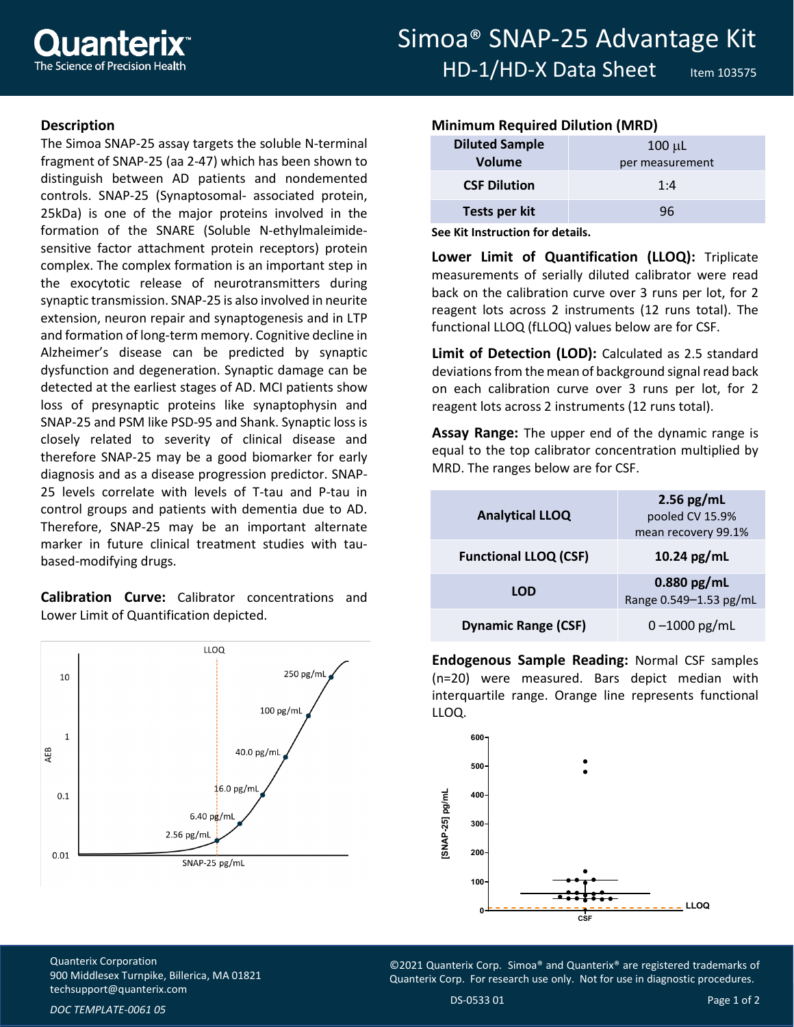## **Description**

The Simoa SNAP-25 assay targets the soluble N-terminal fragment of SNAP-25 (aa 2-47) which has been shown to distinguish between AD patients and nondemented controls. SNAP-25 (Synaptosomal- associated protein, 25kDa) is one of the major proteins involved in the formation of the SNARE (Soluble N-ethylmaleimidesensitive factor attachment protein receptors) protein complex. The complex formation is an important step in the exocytotic release of neurotransmitters during synaptic transmission. SNAP-25 is also involved in neurite extension, neuron repair and synaptogenesis and in LTP and formation of long-term memory. Cognitive decline in Alzheimer's disease can be predicted by synaptic dysfunction and degeneration. Synaptic damage can be detected at the earliest stages of AD. MCI patients show loss of presynaptic proteins like synaptophysin and SNAP-25 and PSM like PSD-95 and Shank. Synaptic loss is closely related to severity of clinical disease and therefore SNAP-25 may be a good biomarker for early diagnosis and as a disease progression predictor. SNAP-25 levels correlate with levels of T-tau and P-tau in control groups and patients with dementia due to AD. Therefore, SNAP-25 may be an important alternate marker in future clinical treatment studies with taubased-modifying drugs.

**Calibration Curve:** Calibrator concentrations and Lower Limit of Quantification depicted.



## **Minimum Required Dilution (MRD)**

| <b>Diluted Sample</b> | $100 \mu L$     |
|-----------------------|-----------------|
| Volume                | per measurement |
| <b>CSF Dilution</b>   | 1:4             |
| Tests per kit         | 96              |

**See Kit Instruction for details.**

**Lower Limit of Quantification (LLOQ):** Triplicate measurements of serially diluted calibrator were read back on the calibration curve over 3 runs per lot, for 2 reagent lots across 2 instruments (12 runs total). The functional LLOQ (fLLOQ) values below are for CSF.

**Limit of Detection (LOD):** Calculated as 2.5 standard deviations from the mean of background signal read back on each calibration curve over 3 runs per lot, for 2 reagent lots across 2 instruments (12 runs total).

**Assay Range:** The upper end of the dynamic range is equal to the top calibrator concentration multiplied by MRD. The ranges below are for CSF.

| <b>Analytical LLOQ</b>       | $2.56$ pg/mL<br>pooled CV 15.9%<br>mean recovery 99.1% |
|------------------------------|--------------------------------------------------------|
| <b>Functional LLOQ (CSF)</b> | 10.24 pg/mL                                            |
| <b>LOD</b>                   | $0.880$ pg/mL<br>Range 0.549-1.53 pg/mL                |
| <b>Dynamic Range (CSF)</b>   | $0 - 1000$ pg/mL                                       |

**Endogenous Sample Reading:** Normal CSF samples (n=20) were measured. Bars depict median with interquartile range. Orange line represents functional LLOQ.



Quanterix Corporation 900 Middlesex Turnpike, Billerica, MA 01821 [techsupport@quanterix.com](mailto:techsupport@quanterix.com)

©2021 Quanterix Corp. Simoa® and Quanterix® are registered trademarks of Quanterix Corp. For research use only. Not for use in diagnostic procedures.

*DOC TEMPLATE-0061 05*